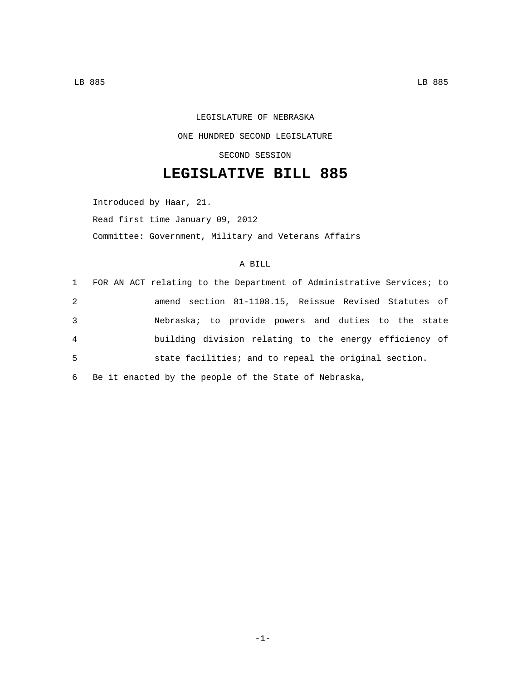## LEGISLATURE OF NEBRASKA ONE HUNDRED SECOND LEGISLATURE SECOND SESSION

## **LEGISLATIVE BILL 885**

Introduced by Haar, 21. Read first time January 09, 2012 Committee: Government, Military and Veterans Affairs

## A BILL

|                | 1 FOR AN ACT relating to the Department of Administrative Services; to |
|----------------|------------------------------------------------------------------------|
| 2              | amend section 81-1108.15, Reissue Revised Statutes of                  |
| 3              | Nebraska; to provide powers and duties to the state                    |
| $\overline{4}$ | building division relating to the energy efficiency of                 |
| 5              | state facilities; and to repeal the original section.                  |
|                | 6 Be it enacted by the people of the State of Nebraska,                |

-1-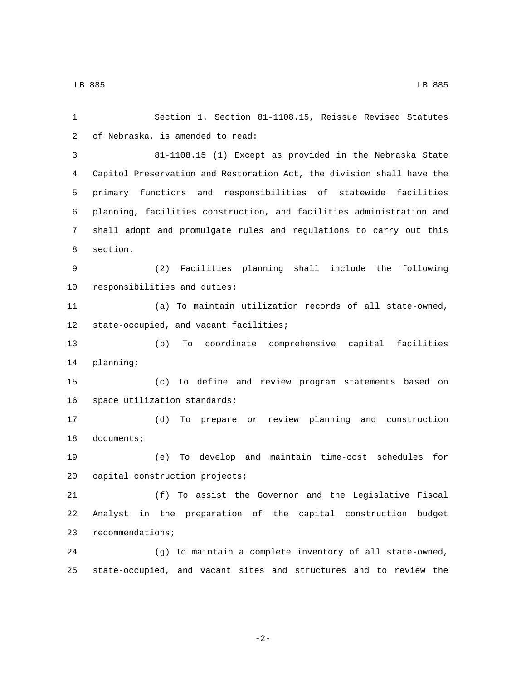Section 1. Section 81-1108.15, Reissue Revised Statutes 2 of Nebraska, is amended to read: 81-1108.15 (1) Except as provided in the Nebraska State Capitol Preservation and Restoration Act, the division shall have the primary functions and responsibilities of statewide facilities planning, facilities construction, and facilities administration and shall adopt and promulgate rules and regulations to carry out this 8 section. (2) Facilities planning shall include the following 10 responsibilities and duties: (a) To maintain utilization records of all state-owned, 12 state-occupied, and vacant facilities; (b) To coordinate comprehensive capital facilities 14 planning; (c) To define and review program statements based on 16 space utilization standards; (d) To prepare or review planning and construction 18 documents; (e) To develop and maintain time-cost schedules for 20 capital construction projects; (f) To assist the Governor and the Legislative Fiscal Analyst in the preparation of the capital construction budget 23 recommendations; (g) To maintain a complete inventory of all state-owned, state-occupied, and vacant sites and structures and to review the

-2-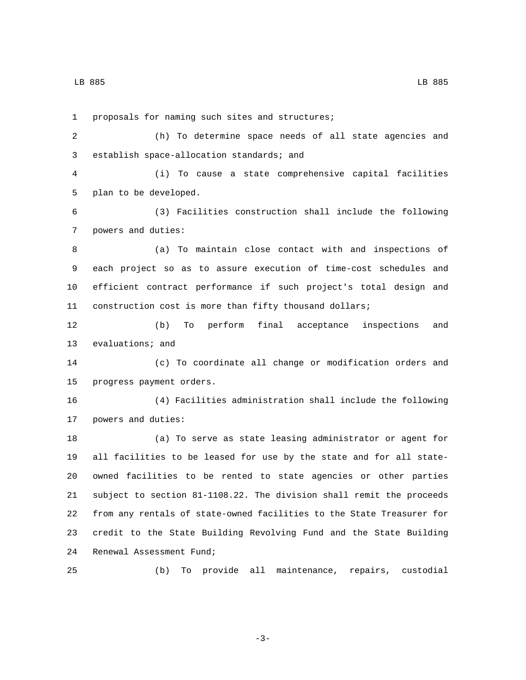1 proposals for naming such sites and structures;

 (h) To determine space needs of all state agencies and 3 establish space-allocation standards; and

 (i) To cause a state comprehensive capital facilities 5 plan to be developed.

 (3) Facilities construction shall include the following 7 powers and duties:

 (a) To maintain close contact with and inspections of each project so as to assure execution of time-cost schedules and efficient contract performance if such project's total design and construction cost is more than fifty thousand dollars;

 (b) To perform final acceptance inspections and 13 evaluations; and

 (c) To coordinate all change or modification orders and 15 progress payment orders.

 (4) Facilities administration shall include the following 17 powers and duties:

 (a) To serve as state leasing administrator or agent for all facilities to be leased for use by the state and for all state- owned facilities to be rented to state agencies or other parties subject to section 81-1108.22. The division shall remit the proceeds from any rentals of state-owned facilities to the State Treasurer for credit to the State Building Revolving Fund and the State Building 24 Renewal Assessment Fund;

(b) To provide all maintenance, repairs, custodial

-3-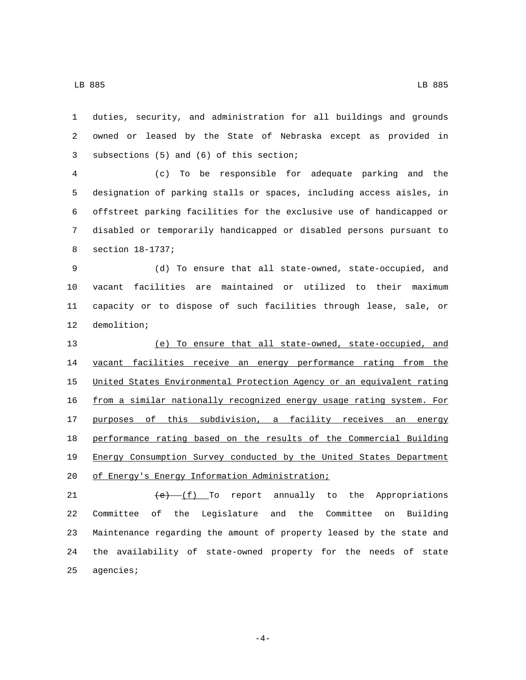duties, security, and administration for all buildings and grounds owned or leased by the State of Nebraska except as provided in 3 subsections (5) and (6) of this section;

 (c) To be responsible for adequate parking and the designation of parking stalls or spaces, including access aisles, in offstreet parking facilities for the exclusive use of handicapped or disabled or temporarily handicapped or disabled persons pursuant to 8 section 18-1737;

 (d) To ensure that all state-owned, state-occupied, and vacant facilities are maintained or utilized to their maximum capacity or to dispose of such facilities through lease, sale, or 12 demolition;

 (e) To ensure that all state-owned, state-occupied, and vacant facilities receive an energy performance rating from the United States Environmental Protection Agency or an equivalent rating from a similar nationally recognized energy usage rating system. For 17 purposes of this subdivision, a facility receives an energy performance rating based on the results of the Commercial Building Energy Consumption Survey conducted by the United States Department 20 of Energy's Energy Information Administration;

 $(e)$   $(f)$  To report annually to the Appropriations Committee of the Legislature and the Committee on Building Maintenance regarding the amount of property leased by the state and the availability of state-owned property for the needs of state 25 agencies;

-4-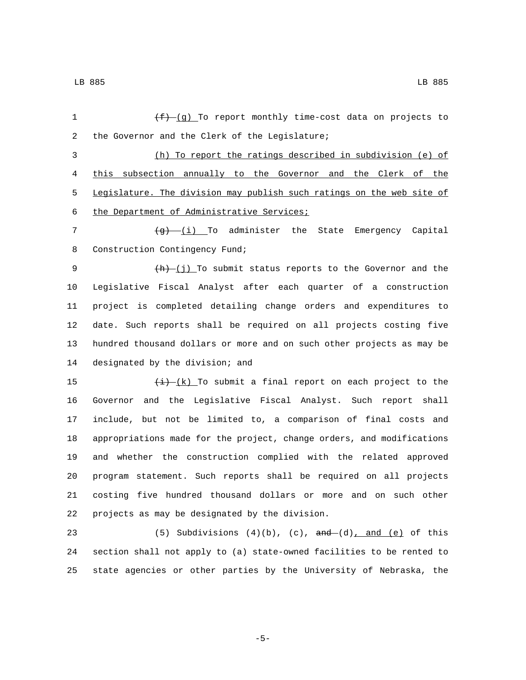$\frac{f}{f}$  (g) To report monthly time-cost data on projects to 2 the Governor and the Clerk of the Legislature; (h) To report the ratings described in subdivision (e) of this subsection annually to the Governor and the Clerk of the Legislature. The division may publish such ratings on the web site of 6 the Department of Administrative Services;  $\frac{1}{9}$  (i) To administer the State Emergency Capital 8 Construction Contingency Fund;  $+h$   $(j)$  To submit status reports to the Governor and the Legislative Fiscal Analyst after each quarter of a construction project is completed detailing change orders and expenditures to date. Such reports shall be required on all projects costing five hundred thousand dollars or more and on such other projects as may be 14 designated by the division; and  $\frac{(i)}{(i)}$  (k) To submit a final report on each project to the Governor and the Legislative Fiscal Analyst. Such report shall include, but not be limited to, a comparison of final costs and appropriations made for the project, change orders, and modifications and whether the construction complied with the related approved program statement. Such reports shall be required on all projects costing five hundred thousand dollars or more and on such other 22 projects as may be designated by the division.

23 (5) Subdivisions  $(4)(b)$ ,  $(c)$ ,  $\frac{and}{(d)}$ ,  $\frac{and}{(e)}$  of this 24 section shall not apply to (a) state-owned facilities to be rented to 25 state agencies or other parties by the University of Nebraska, the

-5-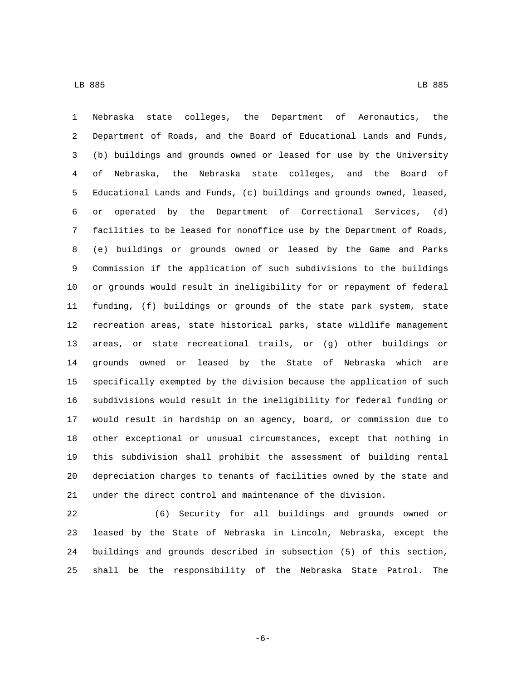Nebraska state colleges, the Department of Aeronautics, the Department of Roads, and the Board of Educational Lands and Funds, (b) buildings and grounds owned or leased for use by the University of Nebraska, the Nebraska state colleges, and the Board of Educational Lands and Funds, (c) buildings and grounds owned, leased, or operated by the Department of Correctional Services, (d) facilities to be leased for nonoffice use by the Department of Roads, (e) buildings or grounds owned or leased by the Game and Parks Commission if the application of such subdivisions to the buildings or grounds would result in ineligibility for or repayment of federal funding, (f) buildings or grounds of the state park system, state recreation areas, state historical parks, state wildlife management areas, or state recreational trails, or (g) other buildings or grounds owned or leased by the State of Nebraska which are specifically exempted by the division because the application of such subdivisions would result in the ineligibility for federal funding or would result in hardship on an agency, board, or commission due to other exceptional or unusual circumstances, except that nothing in this subdivision shall prohibit the assessment of building rental depreciation charges to tenants of facilities owned by the state and under the direct control and maintenance of the division.

 (6) Security for all buildings and grounds owned or leased by the State of Nebraska in Lincoln, Nebraska, except the buildings and grounds described in subsection (5) of this section, shall be the responsibility of the Nebraska State Patrol. The

-6-